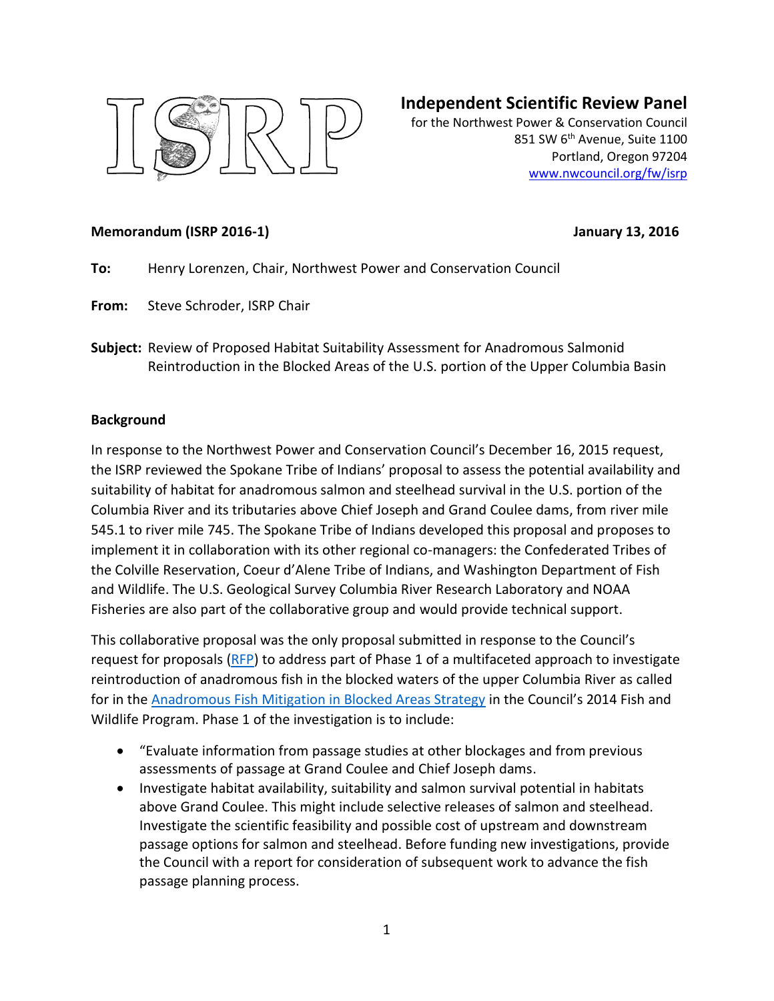

# **Independent Scientific Review Panel**

for the Northwest Power & Conservation Council 851 SW 6<sup>th</sup> Avenue, Suite 1100 Portland, Oregon 97204 [www.nwcouncil.org/fw/isrp](http://www.nwcouncil.org/fw/isrp)

#### **Memorandum (ISRP 2016-1) January 13, 2016**

- **To:** Henry Lorenzen, Chair, Northwest Power and Conservation Council
- **From:** Steve Schroder, ISRP Chair
- **Subject:** Review of Proposed Habitat Suitability Assessment for Anadromous Salmonid Reintroduction in the Blocked Areas of the U.S. portion of the Upper Columbia Basin

#### **Background**

In response to the Northwest Power and Conservation Council's December 16, 2015 request, the ISRP reviewed the Spokane Tribe of Indians' proposal to assess the potential availability and suitability of habitat for anadromous salmon and steelhead survival in the U.S. portion of the Columbia River and its tributaries above Chief Joseph and Grand Coulee dams, from river mile 545.1 to river mile 745. The Spokane Tribe of Indians developed this proposal and proposes to implement it in collaboration with its other regional co-managers: the Confederated Tribes of the Colville Reservation, Coeur d'Alene Tribe of Indians, and Washington Department of Fish and Wildlife. The U.S. Geological Survey Columbia River Research Laboratory and NOAA Fisheries are also part of the collaborative group and would provide technical support.

This collaborative proposal was the only proposal submitted in response to the Council's request for proposals [\(RFP\)](http://www.nwcouncil.org/fw/reviews/2016habitat/rfp) to address part of Phase 1 of a multifaceted approach to investigate reintroduction of anadromous fish in the blocked waters of the upper Columbia River as called for in th[e Anadromous Fish Mitigation in Blocked Areas Strategy](http://www.nwcouncil.org/fw/program/2014-12/program/partthree_vision_foundation_goals_objectives_strategies/iv_strategies/c_other_strategies/3_anadromous_fish_mitigation_blocked_areas/) in the Council's 2014 Fish and Wildlife Program. Phase 1 of the investigation is to include:

- "Evaluate information from passage studies at other blockages and from previous assessments of passage at Grand Coulee and Chief Joseph dams.
- Investigate habitat availability, suitability and salmon survival potential in habitats above Grand Coulee. This might include selective releases of salmon and steelhead. Investigate the scientific feasibility and possible cost of upstream and downstream passage options for salmon and steelhead. Before funding new investigations, provide the Council with a report for consideration of subsequent work to advance the fish passage planning process.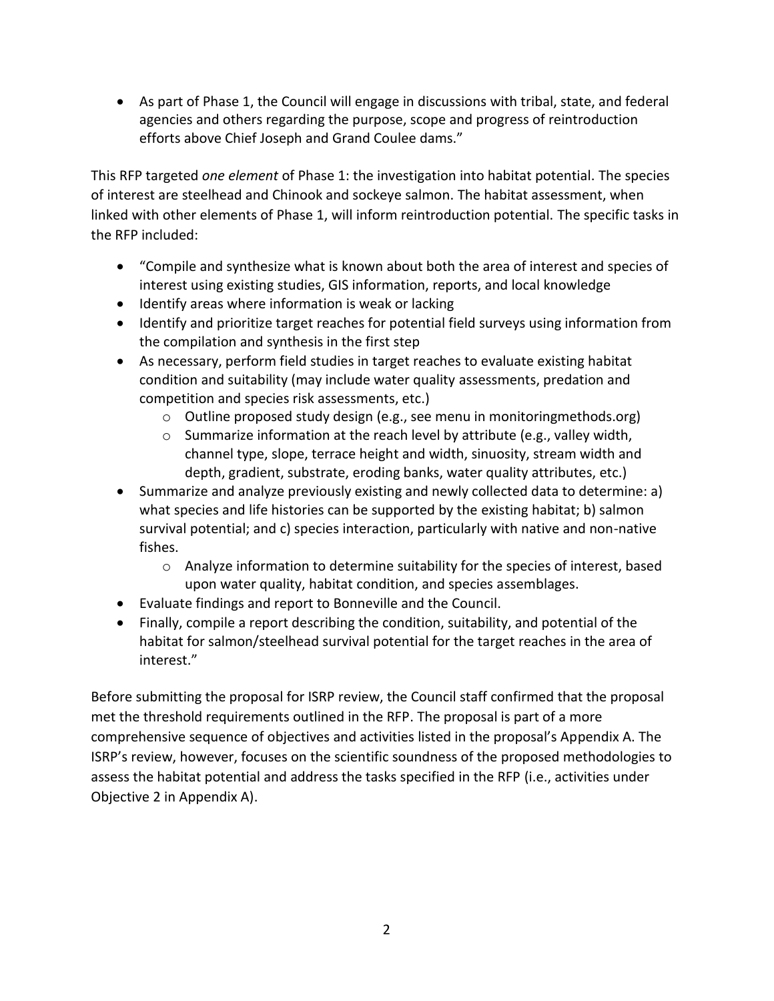As part of Phase 1, the Council will engage in discussions with tribal, state, and federal agencies and others regarding the purpose, scope and progress of reintroduction efforts above Chief Joseph and Grand Coulee dams."

This RFP targeted *one element* of Phase 1: the investigation into habitat potential. The species of interest are steelhead and Chinook and sockeye salmon. The habitat assessment, when linked with other elements of Phase 1, will inform reintroduction potential. The specific tasks in the RFP included:

- "Compile and synthesize what is known about both the area of interest and species of interest using existing studies, GIS information, reports, and local knowledge
- Identify areas where information is weak or lacking
- Identify and prioritize target reaches for potential field surveys using information from the compilation and synthesis in the first step
- As necessary, perform field studies in target reaches to evaluate existing habitat condition and suitability (may include water quality assessments, predation and competition and species risk assessments, etc.)
	- o Outline proposed study design (e.g., see menu in monitoringmethods.org)
	- o Summarize information at the reach level by attribute (e.g., valley width, channel type, slope, terrace height and width, sinuosity, stream width and depth, gradient, substrate, eroding banks, water quality attributes, etc.)
- Summarize and analyze previously existing and newly collected data to determine: a) what species and life histories can be supported by the existing habitat; b) salmon survival potential; and c) species interaction, particularly with native and non-native fishes.
	- $\circ$  Analyze information to determine suitability for the species of interest, based upon water quality, habitat condition, and species assemblages.
- Evaluate findings and report to Bonneville and the Council.
- Finally, compile a report describing the condition, suitability, and potential of the habitat for salmon/steelhead survival potential for the target reaches in the area of interest."

Before submitting the proposal for ISRP review, the Council staff confirmed that the proposal met the threshold requirements outlined in the RFP. The proposal is part of a more comprehensive sequence of objectives and activities listed in the proposal's Appendix A. The ISRP's review, however, focuses on the scientific soundness of the proposed methodologies to assess the habitat potential and address the tasks specified in the RFP (i.e., activities under Objective 2 in Appendix A).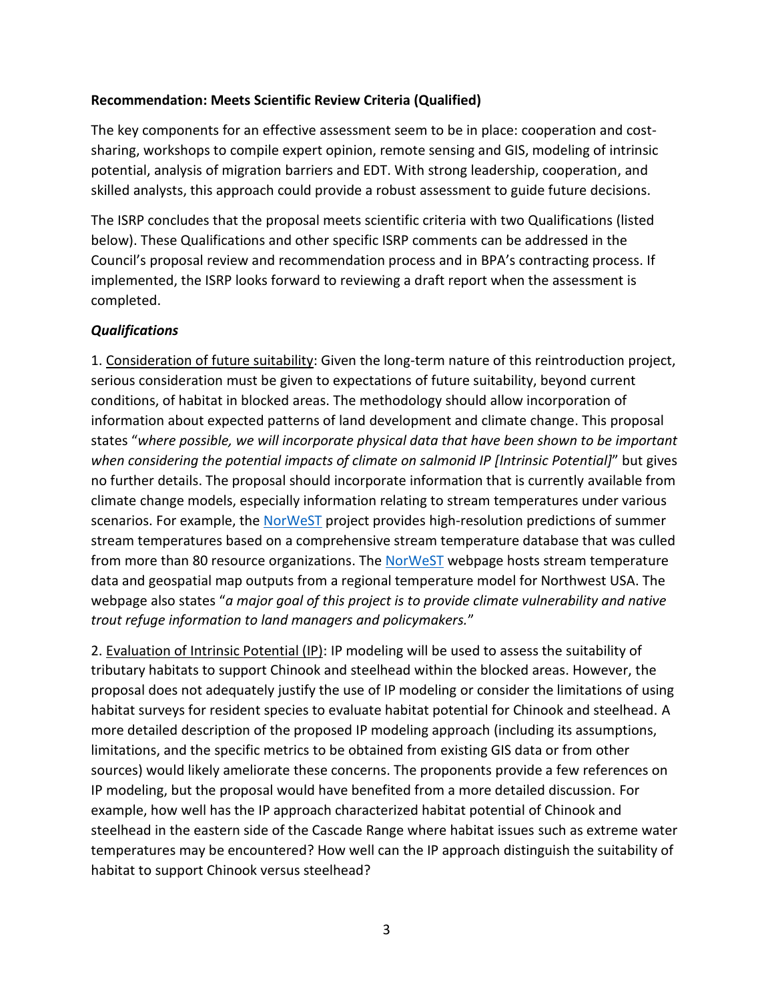### **Recommendation: Meets Scientific Review Criteria (Qualified)**

The key components for an effective assessment seem to be in place: cooperation and costsharing, workshops to compile expert opinion, remote sensing and GIS, modeling of intrinsic potential, analysis of migration barriers and EDT. With strong leadership, cooperation, and skilled analysts, this approach could provide a robust assessment to guide future decisions.

The ISRP concludes that the proposal meets scientific criteria with two Qualifications (listed below). These Qualifications and other specific ISRP comments can be addressed in the Council's proposal review and recommendation process and in BPA's contracting process. If implemented, the ISRP looks forward to reviewing a draft report when the assessment is completed.

### *Qualifications*

1. Consideration of future suitability: Given the long-term nature of this reintroduction project, serious consideration must be given to expectations of future suitability, beyond current conditions, of habitat in blocked areas. The methodology should allow incorporation of information about expected patterns of land development and climate change. This proposal states "*where possible, we will incorporate physical data that have been shown to be important when considering the potential impacts of climate on salmonid IP [Intrinsic Potential]*" but gives no further details. The proposal should incorporate information that is currently available from climate change models, especially information relating to stream temperatures under various scenarios. For example, the [NorWeST](http://www.fs.fed.us/rm/boise/AWAE/projects/NorWeST.html) project provides high-resolution predictions of summer stream temperatures based on a comprehensive stream temperature database that was culled from more than 80 resource organizations. The [NorWeST](http://www.fs.fed.us/rm/boise/AWAE/projects/NorWeST.html) webpage hosts stream temperature data and geospatial map outputs from a regional temperature model for Northwest USA. The webpage also states "*a major goal of this project is to provide climate vulnerability and native trout refuge information to land managers and policymakers.*"

2. Evaluation of Intrinsic Potential (IP): IP modeling will be used to assess the suitability of tributary habitats to support Chinook and steelhead within the blocked areas. However, the proposal does not adequately justify the use of IP modeling or consider the limitations of using habitat surveys for resident species to evaluate habitat potential for Chinook and steelhead. A more detailed description of the proposed IP modeling approach (including its assumptions, limitations, and the specific metrics to be obtained from existing GIS data or from other sources) would likely ameliorate these concerns. The proponents provide a few references on IP modeling, but the proposal would have benefited from a more detailed discussion. For example, how well has the IP approach characterized habitat potential of Chinook and steelhead in the eastern side of the Cascade Range where habitat issues such as extreme water temperatures may be encountered? How well can the IP approach distinguish the suitability of habitat to support Chinook versus steelhead?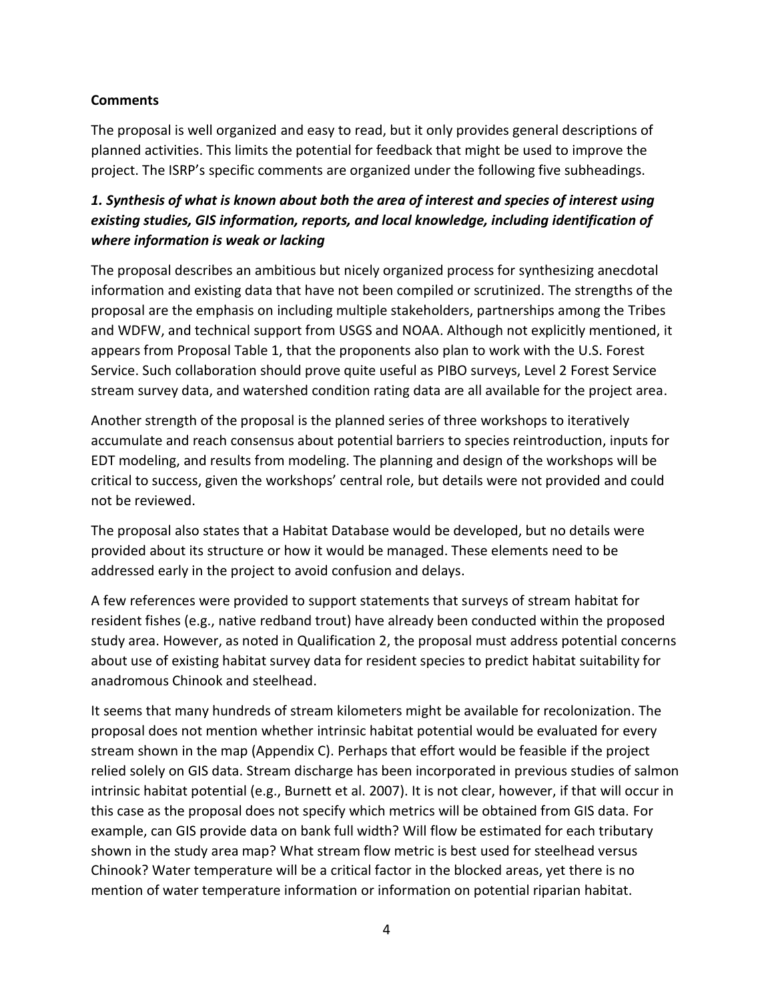### **Comments**

The proposal is well organized and easy to read, but it only provides general descriptions of planned activities. This limits the potential for feedback that might be used to improve the project. The ISRP's specific comments are organized under the following five subheadings.

### *1. Synthesis of what is known about both the area of interest and species of interest using existing studies, GIS information, reports, and local knowledge, including identification of where information is weak or lacking*

The proposal describes an ambitious but nicely organized process for synthesizing anecdotal information and existing data that have not been compiled or scrutinized. The strengths of the proposal are the emphasis on including multiple stakeholders, partnerships among the Tribes and WDFW, and technical support from USGS and NOAA. Although not explicitly mentioned, it appears from Proposal Table 1, that the proponents also plan to work with the U.S. Forest Service. Such collaboration should prove quite useful as PIBO surveys, Level 2 Forest Service stream survey data, and watershed condition rating data are all available for the project area.

Another strength of the proposal is the planned series of three workshops to iteratively accumulate and reach consensus about potential barriers to species reintroduction, inputs for EDT modeling, and results from modeling. The planning and design of the workshops will be critical to success, given the workshops' central role, but details were not provided and could not be reviewed.

The proposal also states that a Habitat Database would be developed, but no details were provided about its structure or how it would be managed. These elements need to be addressed early in the project to avoid confusion and delays.

A few references were provided to support statements that surveys of stream habitat for resident fishes (e.g., native redband trout) have already been conducted within the proposed study area. However, as noted in Qualification 2, the proposal must address potential concerns about use of existing habitat survey data for resident species to predict habitat suitability for anadromous Chinook and steelhead.

It seems that many hundreds of stream kilometers might be available for recolonization. The proposal does not mention whether intrinsic habitat potential would be evaluated for every stream shown in the map (Appendix C). Perhaps that effort would be feasible if the project relied solely on GIS data. Stream discharge has been incorporated in previous studies of salmon intrinsic habitat potential (e.g., Burnett et al. 2007). It is not clear, however, if that will occur in this case as the proposal does not specify which metrics will be obtained from GIS data. For example, can GIS provide data on bank full width? Will flow be estimated for each tributary shown in the study area map? What stream flow metric is best used for steelhead versus Chinook? Water temperature will be a critical factor in the blocked areas, yet there is no mention of water temperature information or information on potential riparian habitat.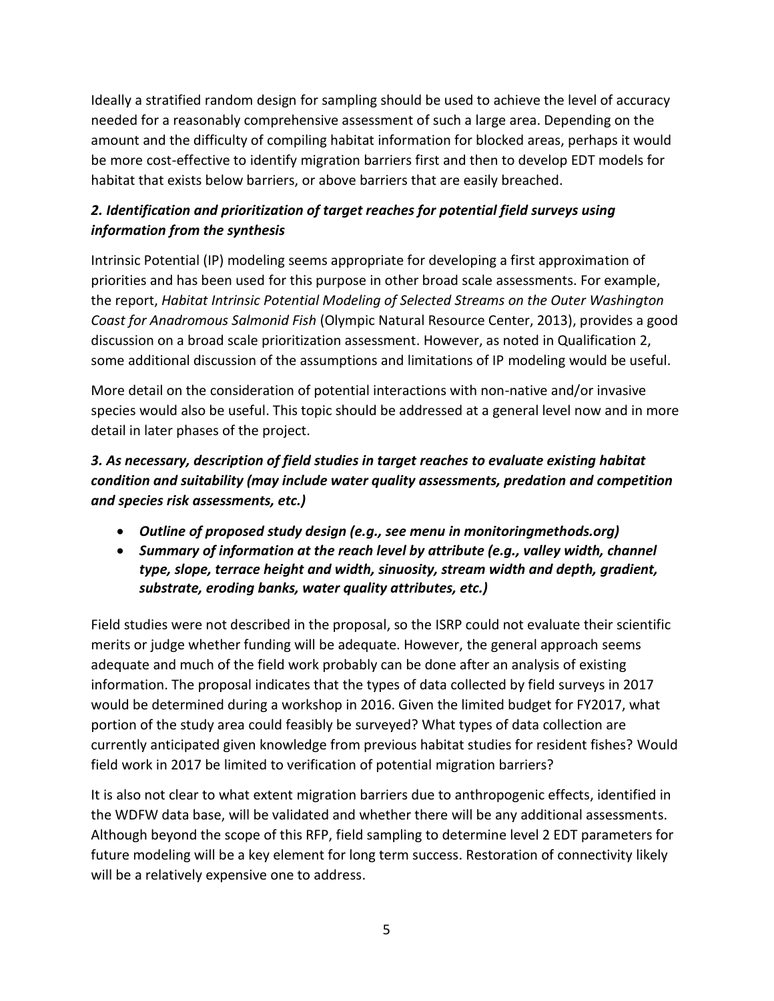Ideally a stratified random design for sampling should be used to achieve the level of accuracy needed for a reasonably comprehensive assessment of such a large area. Depending on the amount and the difficulty of compiling habitat information for blocked areas, perhaps it would be more cost-effective to identify migration barriers first and then to develop EDT models for habitat that exists below barriers, or above barriers that are easily breached.

## *2. Identification and prioritization of target reaches for potential field surveys using information from the synthesis*

Intrinsic Potential (IP) modeling seems appropriate for developing a first approximation of priorities and has been used for this purpose in other broad scale assessments. For example, the report, *Habitat Intrinsic Potential Modeling of Selected Streams on the Outer Washington Coast for Anadromous Salmonid Fish* (Olympic Natural Resource Center, 2013), provides a good discussion on a broad scale prioritization assessment. However, as noted in Qualification 2, some additional discussion of the assumptions and limitations of IP modeling would be useful.

More detail on the consideration of potential interactions with non-native and/or invasive species would also be useful. This topic should be addressed at a general level now and in more detail in later phases of the project.

## *3. As necessary, description of field studies in target reaches to evaluate existing habitat condition and suitability (may include water quality assessments, predation and competition and species risk assessments, etc.)*

- *Outline of proposed study design (e.g., see menu in monitoringmethods.org)*
- *Summary of information at the reach level by attribute (e.g., valley width, channel type, slope, terrace height and width, sinuosity, stream width and depth, gradient, substrate, eroding banks, water quality attributes, etc.)*

Field studies were not described in the proposal, so the ISRP could not evaluate their scientific merits or judge whether funding will be adequate. However, the general approach seems adequate and much of the field work probably can be done after an analysis of existing information. The proposal indicates that the types of data collected by field surveys in 2017 would be determined during a workshop in 2016. Given the limited budget for FY2017, what portion of the study area could feasibly be surveyed? What types of data collection are currently anticipated given knowledge from previous habitat studies for resident fishes? Would field work in 2017 be limited to verification of potential migration barriers?

It is also not clear to what extent migration barriers due to anthropogenic effects, identified in the WDFW data base, will be validated and whether there will be any additional assessments. Although beyond the scope of this RFP, field sampling to determine level 2 EDT parameters for future modeling will be a key element for long term success. Restoration of connectivity likely will be a relatively expensive one to address.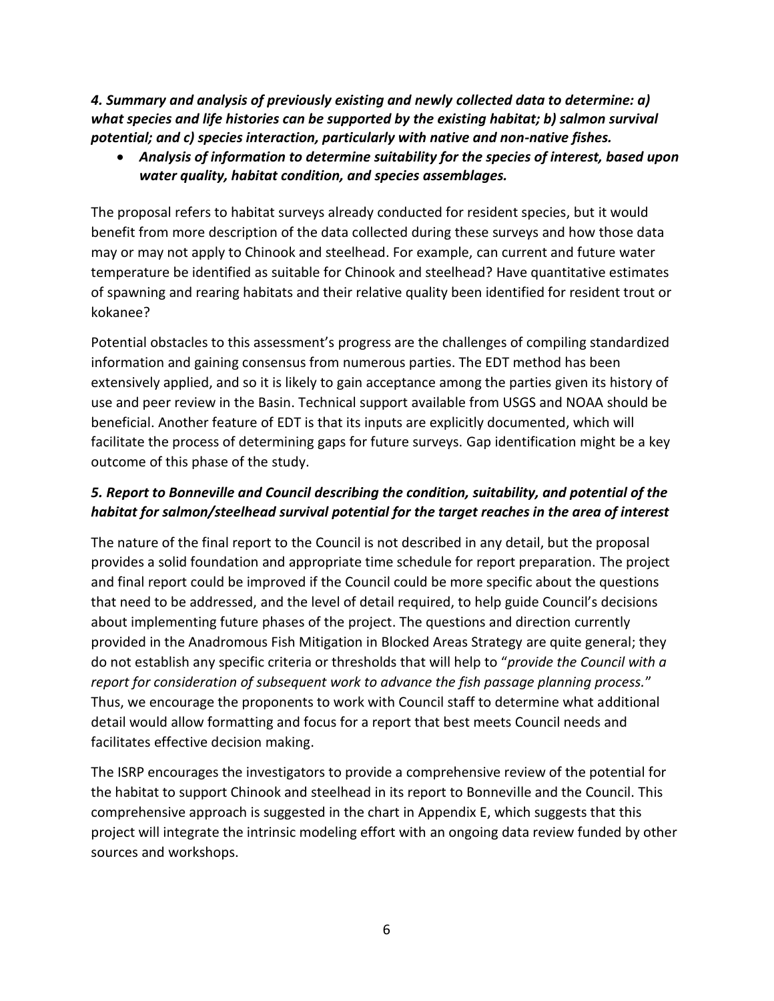*4. Summary and analysis of previously existing and newly collected data to determine: a) what species and life histories can be supported by the existing habitat; b) salmon survival potential; and c) species interaction, particularly with native and non-native fishes.*

 *Analysis of information to determine suitability for the species of interest, based upon water quality, habitat condition, and species assemblages.*

The proposal refers to habitat surveys already conducted for resident species, but it would benefit from more description of the data collected during these surveys and how those data may or may not apply to Chinook and steelhead. For example, can current and future water temperature be identified as suitable for Chinook and steelhead? Have quantitative estimates of spawning and rearing habitats and their relative quality been identified for resident trout or kokanee?

Potential obstacles to this assessment's progress are the challenges of compiling standardized information and gaining consensus from numerous parties. The EDT method has been extensively applied, and so it is likely to gain acceptance among the parties given its history of use and peer review in the Basin. Technical support available from USGS and NOAA should be beneficial. Another feature of EDT is that its inputs are explicitly documented, which will facilitate the process of determining gaps for future surveys. Gap identification might be a key outcome of this phase of the study.

### *5. Report to Bonneville and Council describing the condition, suitability, and potential of the habitat for salmon/steelhead survival potential for the target reaches in the area of interest*

The nature of the final report to the Council is not described in any detail, but the proposal provides a solid foundation and appropriate time schedule for report preparation. The project and final report could be improved if the Council could be more specific about the questions that need to be addressed, and the level of detail required, to help guide Council's decisions about implementing future phases of the project. The questions and direction currently provided in the Anadromous Fish Mitigation in Blocked Areas Strategy are quite general; they do not establish any specific criteria or thresholds that will help to "*provide the Council with a report for consideration of subsequent work to advance the fish passage planning process.*" Thus, we encourage the proponents to work with Council staff to determine what additional detail would allow formatting and focus for a report that best meets Council needs and facilitates effective decision making.

The ISRP encourages the investigators to provide a comprehensive review of the potential for the habitat to support Chinook and steelhead in its report to Bonneville and the Council. This comprehensive approach is suggested in the chart in Appendix E, which suggests that this project will integrate the intrinsic modeling effort with an ongoing data review funded by other sources and workshops.